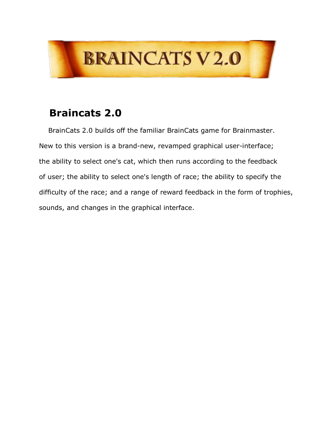

## **Braincats 2.0**

BrainCats 2.0 builds off the familiar BrainCats game for Brainmaster. New to this version is a brand-new, revamped graphical user-interface; the ability to select one's cat, which then runs according to the feedback of user; the ability to select one's length of race; the ability to specify the difficulty of the race; and a range of reward feedback in the form of trophies, sounds, and changes in the graphical interface.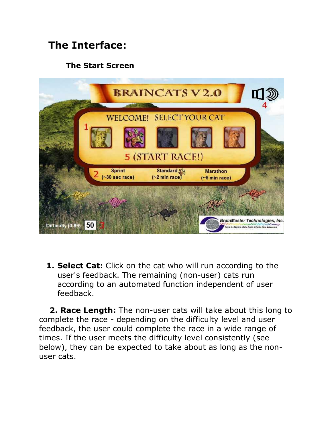# **The Interface:**

#### **The Start Screen**



**1. Select Cat:** Click on the cat who will run according to the user's feedback. The remaining (non-user) cats run according to an automated function independent of user feedback.

**2. Race Length:** The non-user cats will take about this long to complete the race - depending on the difficulty level and user feedback, the user could complete the race in a wide range of times. If the user meets the difficulty level consistently (see below), they can be expected to take about as long as the non user cats.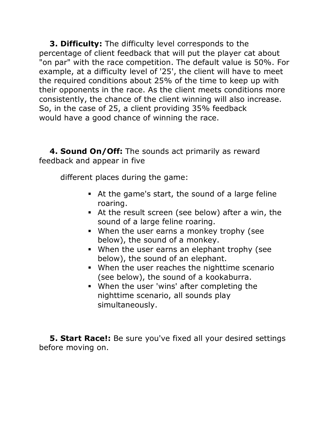**3. Difficulty:** The difficulty level corresponds to the percentage of client feedback that will put the player cat about "on par" with the race competition. The default value is 50%. For example, at a difficulty level of '25', the client will have to meet the required conditions about 25% of the time to keep up with their opponents in the race. As the client meets conditions more consistently, the chance of the client winning will also increase. So, in the case of 25, a client providing 35% feedback would have a good chance of winning the race.

**4. Sound On/Off:** The sounds act primarily as reward feedback and appear in five

different places during the game:

- At the game's start, the sound of a large feline roaring.
- At the result screen (see below) after a win, the sound of a large feline roaring.
- When the user earns a monkey trophy (see below), the sound of a monkey.
- When the user earns an elephant trophy (see below), the sound of an elephant.
- When the user reaches the nighttime scenario (see below), the sound of a kookaburra.
- When the user 'wins' after completing the nighttime scenario, all sounds play simultaneously.

**5. Start Race!:** Be sure you've fixed all your desired settings before moving on.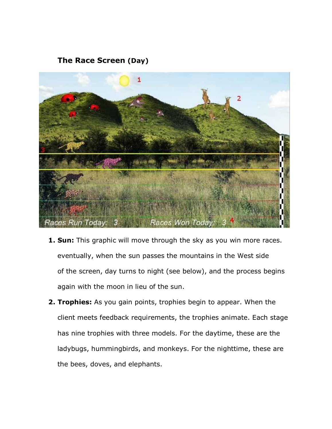#### **The Race Screen (Day)**



- **1. Sun:** This graphic will move through the sky as you win more races. eventually, when the sun passes the mountains in the West side of the screen, day turns to night (see below), and the process begins again with the moon in lieu of the sun.
- **2. Trophies:** As you gain points, trophies begin to appear. When the client meets feedback requirements, the trophies animate. Each stage has nine trophies with three models. For the daytime, these are the ladybugs, hummingbirds, and monkeys. For the nighttime, these are the bees, doves, and elephants.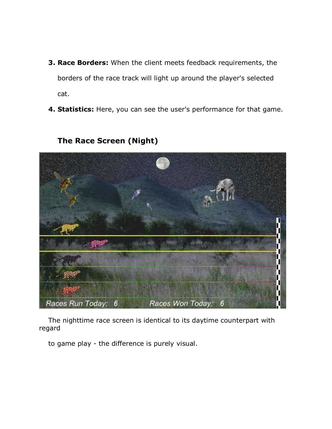- **3. Race Borders:** When the client meets feedback requirements, the borders of the race track will light up around the player's selected cat.
- **4. Statistics:** Here, you can see the user's performance for that game.



### **The Race Screen (Night)**

The nighttime race screen is identical to its daytime counterpart with regard

to game play - the difference is purely visual.